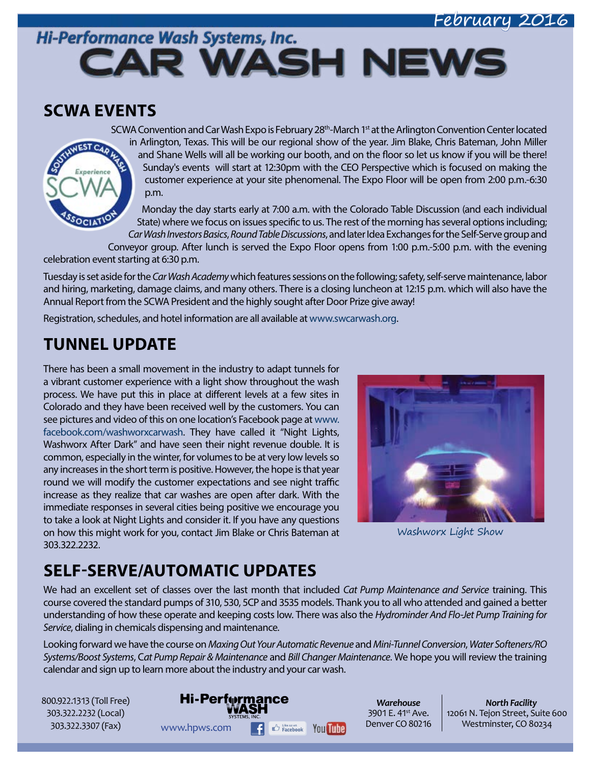### February 2016

# Hi-Performance Wash Systems, Inc. **CAR WASH NEWS**

### **SCWA EVENTS**

WEST CAO

Experience

SCWA Convention and Car Wash Expo is February  $28<sup>th</sup>$ -March 1<sup>st</sup> at the Arlington Convention Center located in Arlington, Texas. This will be our regional show of the year. Jim Blake, Chris Bateman, John Miller and Shane Wells will all be working our booth, and on the floor so let us know if you will be there! Sunday's events will start at 12:30pm with the CEO Perspective which is focused on making the customer experience at your site phenomenal. The Expo Floor will be open from 2:00 p.m.-6:30 p.m.

Monday the day starts early at 7:00 a.m. with the Colorado Table Discussion (and each individual State) where we focus on issues specific to us. The rest of the morning has several options including; *Car Wash Investors Basics*, *Round Table Discussions*, and later Idea Exchanges for the Self-Serve group and

Conveyor group. After lunch is served the Expo Floor opens from 1:00 p.m.-5:00 p.m. with the evening celebration event starting at 6:30 p.m.

Tuesday is set aside for the *Car Wash Academy* which features sessions on the following; safety, self-serve maintenance, labor and hiring, marketing, damage claims, and many others. There is a closing luncheon at 12:15 p.m. which will also have the Annual Report from the SCWA President and the highly sought after Door Prize give away!

Registration, schedules, and hotel information are all available at [www.swcarwash.org.](http://www.swcarwash.org)

## **TUNNEL UPDATE**

There has been a small movement in the industry to adapt tunnels for a vibrant customer experience with a light show throughout the wash process. We have put this in place at different levels at a few sites in Colorado and they have been received well by the customers. You can see pictures and video of this on one location's Facebook page at [www.](http://www.facebook.com/washworxcarwash) [facebook.com/washworxcarwash.](http://www.facebook.com/washworxcarwash) They have called it "Night Lights, Washworx After Dark" and have seen their night revenue double. It is common, especially in the winter, for volumes to be at very low levels so any increases in the short term is positive. However, the hope is that year round we will modify the customer expectations and see night traffic increase as they realize that car washes are open after dark. With the immediate responses in several cities being positive we encourage you to take a look at Night Lights and consider it. If you have any questions on how this might work for you, contact Jim Blake or Chris Bateman at 303.322.2232.



Washworx Light Show

# **SELF-SERVE/AUTOMATIC UPDATES**

We had an excellent set of classes over the last month that included *Cat Pump Maintenance and Service* training. This course covered the standard pumps of 310, 530, 5CP and 3535 models. Thank you to all who attended and gained a better understanding of how these operate and keeping costs low. There was also the *Hydrominder And Flo-Jet Pump Training for Service*, dialing in chemicals dispensing and maintenance.

Looking forward we have the course on *Maxing Out Your Automatic Revenue* and *Mini-Tunnel Conversion*, *Water Softeners/RO Systems/Boost Systems*, C*at Pump Repair & Maintenance* and *Bill Changer Maintenance*. We hope you will review the training calendar and sign up to learn more about the industry and your car wash.

800.922.1313 (Toll Free) 303.322.2232 (Local) 303.322.3307 (Fax)

**Hi-Performance** WWW.hpws.com **F**  $\bigoplus_{\text{Facebook}}$  You **The Denver CO 80216** Westminster, CO 80234

*Warehouse* 3901 E. 41<sup>st</sup> Ave. Denver CO 80216

*North Facility* 12061 N. Tejon Street, Suite 600